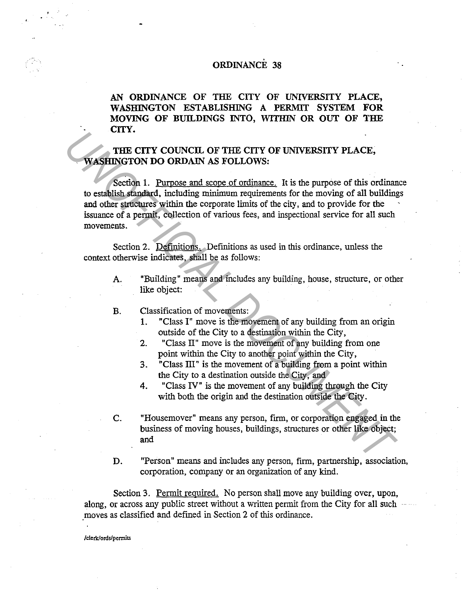## ORDINANCE 38

AN ORDINANCE OF THE CITY OF UNIVERSITY PLACE, WASHINGTON ESTABLISHING A PERMIT SYSTEM FOR MOVING OF BUILDINGS INTO, WITIIIN OR OUT OF THE CITY.

## THE CITY COUNCIL OF THE CITY OF UNIVERSITY PLACE, WASHINGTON DO ORDAIN AS FOLLOWS:

Section 1. Purpose and scope of ordinance. It is the purpose of this ordinance to establish standard, including minimum requirements for the moving of all buildings and other structures within the corporate limits of the city, and to provide for the issuance of a permit, collection of various fees, and inspectional service for all such movements. **EXECUTE:**<br> **EXECUTY COUNCIL OF THE CITY OF UNIVERSITY PLACE,<br>
<b>WASHINGTON DO ORDAIN AS FOLLOWS:**<br> **U.** establish standard, including minimum requirements for the moving of all building<br>
and other structures within the cor

Section 2. Definitions. Definitions as used in this ordinance, unless the context otherwise indicates, shall be as follows:

- A. "Building" means and includes any building, house, structure, or other like object:
- B. Classification of movements:
	- 1. "Class I" move is the movement of any building from an origin outside of the City to a destination within the City,
	- 2. "Class II" move is the movement of any building from one point within the City to another point within the City,
	- 3. "Class III" is the movement of a building from a point within the City to a destination outside the City, and
	- 4. "Class IV" is the movement of any building through the City with both the origin and the destination outside the City.
- C. "Housemover" means any person, firm, or corporation engaged in the business of moving houses, buildings, structures or other like object; and
- D. "Person" means and includes any person, firm, partnership, association, corporation, company or an organization of any kind.

Section 3. Permit required. No person shall move any building over, upon, along, or across any public street without a written permit from the City for all such moves as classified and defined in Section 2 of this ordinance.

**/clerk/ords/permits**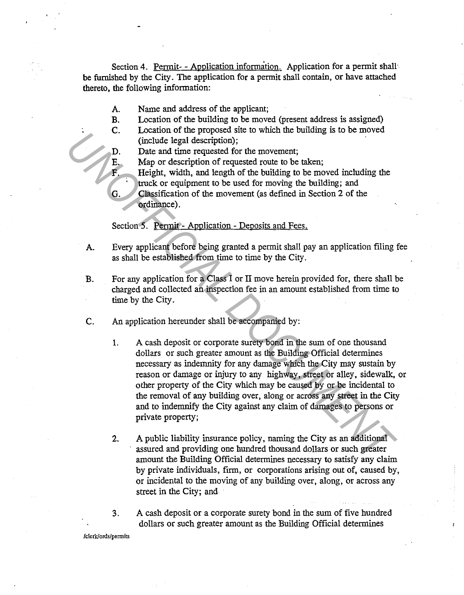Section 4. Permit- - Application information. Application for a permit shall be furnished by the City. The application for a permit shall contain, or have attached thereto, the following information:

- A. Name and address of the applicant;
- B. Location of the building to be moved (present address is assigned)
- C. Location of the proposed site to which the building is to be moved (include legal description);
- D. Date and time requested for the movement;
- E. Map or description of requested route to be taken;
	- Height, width, and length of the building to be moved including the truck or equipment to be used for moving the building; and
- G. Classification of the movement (as defined in Section 2 of the ordinance).

Section 5. Permit - Application - Deposits and Fees.

- A. Every applicant before being granted a permit shall pay an application filing fee as shall be established from time to time by the City.
- B. For any application for a Class I or II move herein provided for, there shall be charged and collected an inspection fee in an amount established from time to time by the City.
- C. An application hereunder shall be accompanied by:
- 1. A cash deposit or corporate surety bond in the sum of one thousand dollars or such greater amount as the Building Official determines necessary as indemnity for any damage which the City may sustain by reason or damage or injury to any highway, street or alley, sidewalk, or other property of the City which may be caused by or be incidental to the removal of any building over, along or across any street in the City and to indemnify the City against any claim of damages to persons or private property; L. Location of exploration is the course of the movement;<br> **L.** Location of equal description);<br> **D.** Date and time requested rot the to be taken;<br>
Height, width, and length of the building to be moved including the<br> **C.** 
	- 2. A public liability insurance policy, naming the City as an additional assured and providing one hundred thousand dollars or such greater amount the Building Official determines necessary to satisfy any claim by private individuals, firm, or corporations arising out of, caused by, or incidental to the moving of any building over, along, or across any street in the City; and
	- 3. A cash deposit or a corporate surety bond in the sum of five hundred dollars or such greater amount as the Building Official determines

**/clerk/ords/pennits**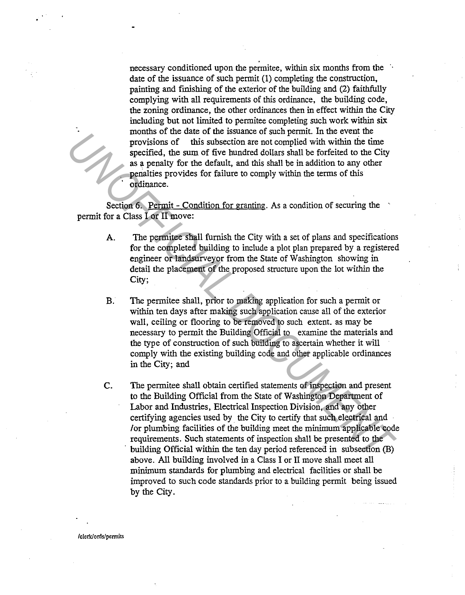necessary conditioned upon the permitee, within six months from the date of the issuance of such pennit (1) completing the construction, painting and finishing of the exterior of the building and (2) faithfully complying with all requirements of this ordinance, the building code, the zoning ordinance, the other ordinances then in effect within the City including but not limited to pennitee completing such work within six months of the date of the issuance of such pennit. In the event the provisions of this subsection are not complied with within the time specified, the sum of five hundred dollars shall be forfeited to the City as a penalty for the default, and this shall be in addition to any other penalties provides for failure to comply within the terms of this ordinance.

Section 6. Permit - Condition for granting. As a condition of securing the permit for a Class I or II move:

- A. The permitee shall furnish the City with a set of plans and specifications for the completed building to include a plot plan prepared by a registered engineer or landsurveyor from the State of Washington showing in detail the placement of the proposed structure upon the lot within the City;
- B. The permitee shall, prior to making application for such a permit or within ten days after making such application cause all of the exterior wall, ceiling or flooring to be removed to such extent. as may be necessary to permit the Building Official to examine the materials and the type of construction of such building to ascertain whether it will comply with the existing building code and other applicable ordinances in the City; and
- C. The permitee shall obtain certified statements of inspection and present to the Building Official from the State of Washington Department of Labor and Industries, Electrical Inspection Division, and any other certifying agencies used by the City to certify that such electrical and /or plumbing facilities of the building meet the minimum applicable code requirements. Such statements of inspection shall be presented to the building Official within the ten day period referenced in subsection (B) above. All building involved in a Class I or II move shall meet all minimum standards for plumbing and electrical facilities or shall be improved to such code standards prior to a building permit being issued by the City. **EXECUTE:** In the certain of the bunded dollars stall be forficied to the Divisions of this subsection are not complied with within the time<br>are are one of the hundred dollars stall be forficied to the Given<br>as a penalty f

**/clerk/ords/permits**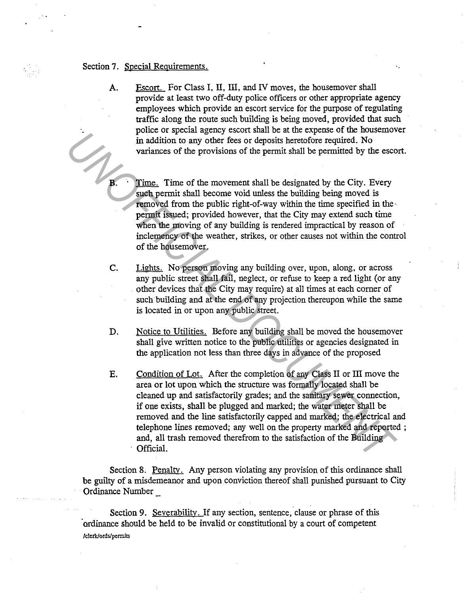## Section 7. Special Requirements.

A. Escort. For Class I, II, III, and IV moves, the housemover shall provide at least two off-duty police officers or other appropriate agency employees which provide an escort service for the purpose of regulating traffic along the route such building is being moved, provided that such police or special agency escort shall be at the expense of the housemover in addition to any other fees or deposits heretofore required. No variances of the provisions of the permit shall be permitted by the escort.

Time. Time of the movement shall be designated by the City. Every such permit shall become void unless the building being moved is removed from the public right-of-way within the time specified in the· permit issued; provided however, that the City may extend such time when the moving of any building is rendered impractical by reason of inclemency of the weather, strikes, or other causes not within the control of the housemover.

- C. Lights. No person moving any building over, upon, along, or across any public street shall fail, neglect, or refuse to keep a red light (or any other devices that the City may require) at all times at each comer of such building and at the end of any projection thereupon while the same is located in or upon any public street.
- D. Notice to Utilities. Before any building shall be moved the housemover shall give written notice to the public utilities or agencies designated in the application not less than three days in advance of the proposed
- E. Condition of Lot. After the completion of any Class II or III move the area or lot upon which the structure was formally located shall be cleaned up and satisfactorily grades; and the sanitary sewer connection, if one exists, shall be plugged and marked; the water meter shall be removed and the line satisfactorily capped and marked; the electrical and telephone lines removed; any well on the property marked and reported ; and, all trash removed therefrom to the satisfaction of the Building Official. Figure of special specifical specifical specifical specifical specifical specifical specifical or the system of the permitted by the city. Every<br> **UNIFICIAL TERN CONTA DOCUMENT CONTA SPECIFICATE SPECIFICATE SPECIFIC TO SUP**

Section 8. Penalty. Any person violating any provision of this ordinance shall be guilty of a misdemeanor and upon conviction thereof shall punished pursuant to City Ordinance Number

Section 9. Severability. If any section, sentence, clause or phrase of this ·ordinance should be held to be invalid or constitutional by a court of competent **/clerklords/permits**